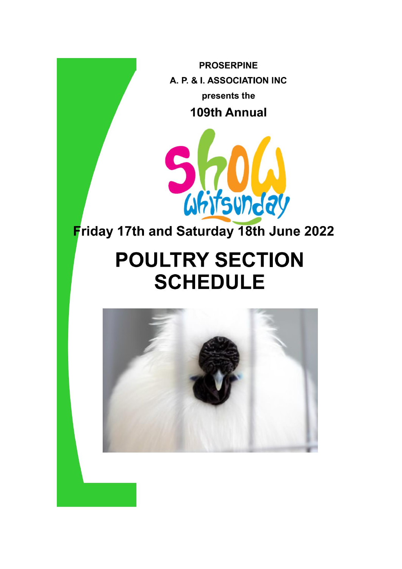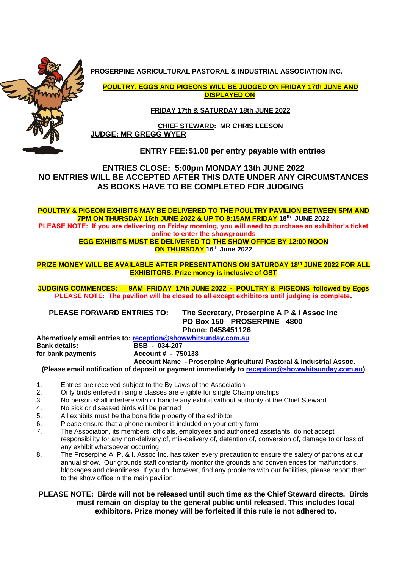

**PROSERPINE AGRICULTURAL PASTORAL & INDUSTRIAL ASSOCIATION INC.**

**POULTRY, EGGS AND PIGEONS WILL BE JUDGED ON FRIDAY 17th JUNE AND DISPLAYED ON**

**FRIDAY 17th & SATURDAY 18th JUNE 2022**

**CHIEF STEWARD: MR CHRIS LEESON JUDGE: MR GREGG WYER**

**ENTRY FEE:\$1.00 per entry payable with entries**

**ENTRIES CLOSE: 5:00pm MONDAY 13th JUNE 2022 NO ENTRIES WILL BE ACCEPTED AFTER THIS DATE UNDER ANY CIRCUMSTANCES AS BOOKS HAVE TO BE COMPLETED FOR JUDGING**

**POULTRY & PIGEON EXHIBITS MAY BE DELIVERED TO THE POULTRY PAVILION BETWEEN 5PM AND 7PM ON THURSDAY 16th JUNE 2022 & UP TO 8:15AM FRIDAY 18 th JUNE 2022 PLEASE NOTE: If you are delivering on Friday morning, you will need to purchase an exhibitor's ticket online to enter the showgrounds**

**EGG EXHIBITS MUST BE DELIVERED TO THE SHOW OFFICE BY 12:00 NOON ON THURSDAY 16 th June 2022**

**PRIZE MONEY WILL BE AVAILABLE AFTER PRESENTATIONS ON SATURDAY 18 th JUNE 2022 FOR ALL EXHIBITORS. Prize money is inclusive of GST**

**JUDGING COMMENCES: 9AM FRIDAY 17th JUNE 2022 - POULTRY & PIGEONS followed by Eggs PLEASE NOTE: The pavilion will be closed to all except exhibitors until judging is complete.**

 **PLEASE FORWARD ENTRIES TO: The Secretary, Proserpine A P & I Assoc Inc PO Box 150 PROSERPINE 4800 Phone: 0458451126**

**Alternatively email entries to: reception@showwhitsunday.com.au Bank details: BSB - 034-207 for bank payments Account # - 750138**

**Account Name - Proserpine Agricultural Pastoral & Industrial Assoc.**

**(Please email notification of deposit or payment immediately to [reception@showwhitsunday.com.au\)](mailto:reception@showwhitsunday.com.au)**

- 1. Entries are received subject to the By Laws of the Association
- 2. Only birds entered in single classes are eligible for single Championships.
- 3. No person shall interfere with or handle any exhibit without authority of the Chief Steward
- 4. No sick or diseased birds will be penned
- 5. All exhibits must be the bona fide property of the exhibitor
- 6. Please ensure that a phone number is included on your entry form
- 7. The Association, its members, officials, employees and authorised assistants, do not accept responsibility for any non-delivery of, mis-delivery of, detention of, conversion of, damage to or loss of any exhibit whatsoever occurring.
- 8. The Proserpine A. P. & I. Assoc Inc. has taken every precaution to ensure the safety of patrons at our annual show. Our grounds staff constantly monitor the grounds and conveniences for malfunctions, blockages and cleanliness. If you do, however, find any problems with our facilities, please report them to the show office in the main pavilion.

## **PLEASE NOTE: Birds will not be released until such time as the Chief Steward directs. Birds must remain on display to the general public until released. This includes local exhibitors. Prize money will be forfeited if this rule is not adhered to.**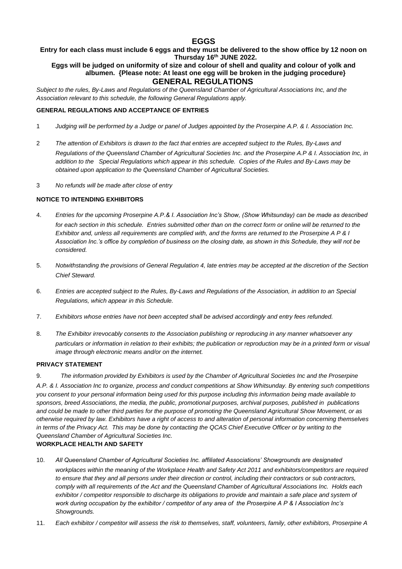# **EGGS**

#### **Entry for each class must include 6 eggs and they must be delivered to the show office by 12 noon on Thursday 16 th JUNE 2022.**

#### **Eggs will be judged on uniformity of size and colour of shell and quality and colour of yolk and albumen. {Please note: At least one egg will be broken in the judging procedure} GENERAL REGULATIONS**

*Subject to the rules, By-Laws and Regulations of the Queensland Chamber of Agricultural Associations Inc, and the Association relevant to this schedule, the following General Regulations apply.*

#### **GENERAL REGULATIONS AND ACCEPTANCE OF ENTRIES**

- 1 *Judging will be performed by a Judge or panel of Judges appointed by the Proserpine A.P. & I. Association Inc.*
- 2 *The attention of Exhibitors is drawn to the fact that entries are accepted subject to the Rules, By-Laws and*

*Regulations of the Queensland Chamber of Agricultural Societies Inc. and the Proserpine A.P & I. Association Inc, in addition to the Special Regulations which appear in this schedule. Copies of the Rules and By-Laws may be obtained upon application to the Queensland Chamber of Agricultural Societies.*

3 *No refunds will be made after close of entry*

#### **NOTICE TO INTENDING EXHIBITORS**

- 4. *Entries for the upcoming Proserpine A.P.& I. Association Inc's Show, (Show Whitsunday) can be made as described*  for each section in this schedule. Entries submitted other than on the correct form or online will be returned to the *Exhibitor and, unless all requirements are complied with, and the forms are returned to the Proserpine A P & I Association Inc.'s office by completion of business on the closing date, as shown in this Schedule, they will not be considered.*
- 5. *Notwithstanding the provisions of General Regulation 4, late entries may be accepted at the discretion of the Section Chief Steward.*
- 6. *Entries are accepted subject to the Rules, By-Laws and Regulations of the Association, in addition to an Special Regulations, which appear in this Schedule.*
- 7. *Exhibitors whose entries have not been accepted shall be advised accordingly and entry fees refunded.*
- 8. *The Exhibitor irrevocably consents to the Association publishing or reproducing in any manner whatsoever any particulars or information in relation to their exhibits; the publication or reproduction may be in a printed form or visual image through electronic means and/or on the internet.*

#### **PRIVACY STATEMENT**

9. *The information provided by Exhibitors is used by the Chamber of Agricultural Societies Inc and the Proserpine* 

*A.P. & I. Association Inc to organize, process and conduct competitions at Show Whitsunday. By entering such competitions you consent to your personal information being used for this purpose including this information being made available to sponsors, breed Associations, the media, the public, promotional purposes, archival purposes, published in publications and could be made to other third parties for the purpose of promoting the Queensland Agricultural Show Movement, or as otherwise required by law. Exhibitors have a right of access to and alteration of personal information concerning themselves in terms of the Privacy Act. This may be done by contacting the QCAS Chief Executive Officer or by writing to the Queensland Chamber of Agricultural Societies Inc.*

#### **WORKPLACE HEALTH AND SAFETY**

- 10. *All Queensland Chamber of Agricultural Societies Inc. affiliated Associations' Showgrounds are designated workplaces within the meaning of the Workplace Health and Safety Act 2011 and exhibitors/competitors are required to ensure that they and all persons under their direction or control, including their contractors or sub contractors, comply with all requirements of the Act and the Queensland Chamber of Agricultural Associations Inc. Holds each*  exhibitor / competitor responsible to discharge its obligations to provide and maintain a safe place and system of *work during occupation by the exhibitor / competitor of any area of the Proserpine A P & I Association Inc's Showgrounds.*
- 11. *Each exhibitor / competitor will assess the risk to themselves, staff, volunteers, family, other exhibitors, Proserpine A*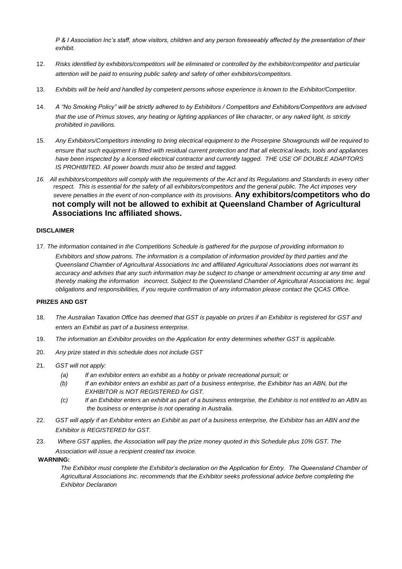*P & I Association Inc's staff, show visitors, children and any person foreseeably affected by the presentation of their exhibit.*

- 12. *Risks identified by exhibitors/competitors will be eliminated or controlled by the exhibitor/competitor and particular attention will be paid to ensuring public safety and safety of other exhibitors/competitors.*
- 13. *Exhibits will be held and handled by competent persons whose experience is known to the Exhibitor/Competitor.*
- 14. *A "No Smoking Policy" will be strictly adhered to by Exhibitors / Competitors and Exhibitors/Competitors are advised that the use of Primus stoves, any heating or lighting appliances of like character, or any naked light, is strictly prohibited in pavilions.*
- 15. *Any Exhibitors/Competitors intending to bring electrical equipment to the Proserpine Showgrounds will be required to ensure that such equipment is fitted with residual current protection and that all electrical leads, tools and appliances have been inspected by a licensed electrical contractor and currently tagged. THE USE OF DOUBLE ADAPTORS IS PROHIBITED. All power boards must also be tested and tagged.*
- *16. All exhibitors/competitors will comply with the requirements of the Act and its Regulations and Standards in every other respect. This is essential for the safety of all exhibitors/competitors and the general public. The Act imposes very severe penalties in the event of non-compliance with its provisions.* **Any exhibitors/competitors who do not comply will not be allowed to exhibit at Queensland Chamber of Agricultural Associations Inc affiliated shows.**

#### **DISCLAIMER**

17. *The information contained in the Competitions Schedule is gathered for the purpose of providing information to Exhibitors and show patrons. The information is a compilation of information provided by third parties and the Queensland Chamber of Agricultural Associations Inc and affiliated Agricultural Associations does not warrant its accuracy and advises that any such information may be subject to change or amendment occurring at any time and thereby making the information incorrect. Subject to the Queensland Chamber of Agricultural Associations Inc. legal obligations and responsibilities, if you require confirmation of any information please contact the QCAS Office.*

#### **PRIZES AND GST**

- 18. *The Australian Taxation Office has deemed that GST is payable on prizes if an Exhibitor is registered for GST and enters an Exhibit as part of a business enterprise.*
- 19. *The information an Exhibitor provides on the Application for entry determines whether GST is applicable.*
- 20. *Any prize stated in this schedule does not include GST*
- 21. *GST will not apply:*
	- *(a) If an exhibitor enters an exhibit as a hobby or private recreational pursuit; or*
	- *(b) If an exhibitor enters an exhibit as part of a business enterprise, the Exhibitor has an ABN, but the EXHIBITOR is NOT REGISTERED for GST.*
	- *(c) If an Exhibitor enters an exhibit as part of a business enterprise, the Exhibitor is not entitled to an ABN as the business or enterprise is not operating in Australia.*
- 22. *GST will apply if an Exhibitor enters an Exhibit as part of a business enterprise, the Exhibitor has an ABN and the Exhibitor is REGISTERED for GST.*
- 23. *Where GST applies, the Association will pay the prize money quoted in this Schedule plus 10% GST. The Association will issue a recipient created tax invoice.*

#### **WARNING:**

The Exhibitor must complete the Exhibitor's declaration on the Application for Entry. The Queensland Chamber of *Agricultural Associations Inc. recommends that the Exhibitor seeks professional advice before completing the Exhibitor Declaration*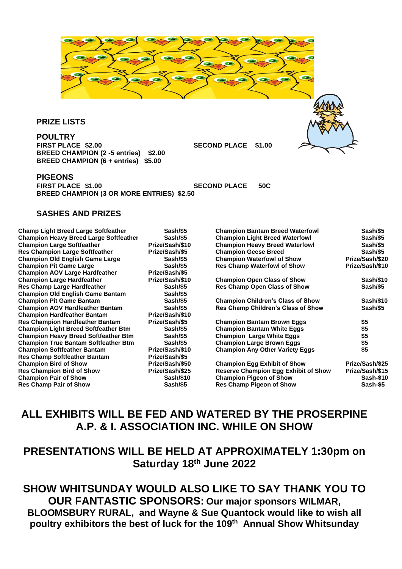

**PRIZE LISTS**

**POULTRY FIRST PLACE \$2.00 SECOND PLACE \$1.00 BREED CHAMPION (2 -5 entries) \$2.00 BREED CHAMPION (6 + entries) \$5.00**

**PIGEONS FIRST PLACE \$1.00 SECOND PLACE 50C BREED CHAMPION (3 OR MORE ENTRIES) \$2.50**

## **SASHES AND PRIZES**

**Champ Light Breed Large Softfeather Sash/\$**<br>Champion Heavy Breed Large Softfeather Sash/\$ **Champion Heavy Breed Large Softfeather Sash/\$5 Champion Large Softfeather Frize/Sash/\$100 Prize/Sash/<br>Res Champion Large Softfeather Prize/Sash/\$ Res Champion Large Softfeather Frize/Sash/\$**<br>Champion Old Fnglish Game Large Sash/\$ **Champion Old English Game Large Sash/\$5 Champion Pit Game Large Champion AOV Large Hardfeather Prize/Sash/\$5 Champion Large Hardfeather Res Champ Large Hardfeather <b>Sash**/\$5 **Champion Old English Game Bantam Sash/\$5 Champion Pit Game Bantam 6 (Sash/\$**<br> **Champion AOV Hardfeather Bantam 6 (Sash/\$ Champion AOV Hardfeather Bantam 6 Sash/\$**<br>1954/Champion Hardfeather Bantam **Prize/Sash Champion Hardfeather Bantam Prize/Sash/\$100**<br>Res Champion Hardfeather Bantam Prize/Sash/\$ **Res Champion Hardfeather Bantam Prize/Sash/\$**<br>**Champion Light Breed Softfeather Btm Sash/\$ Champion Light Breed Softfeather Btm Sash/\$5 Champion Heavy Breed Softfeather Btm Sash/\$5 Champion True Bantam Softfeather Btm Sash/\$5 Champion Softfeather Bantam Res Champ Softfeather Bantam Prize/Sash/\$ Champion Bird of Show Frize/Sash/\$**<br>Res Champion Bird of Show Prize/Sash/\$ **Res Champion Bird of Show Champion Pair of Show <b>Sash/S Res Champ Pair of Show Sash/\$5**

| 55          | <b>Champion Bantam Breed Waterfowl</b>      | Sash/\$5         |
|-------------|---------------------------------------------|------------------|
| 55          | <b>Champion Light Breed Waterfowl</b>       | Sash/\$5         |
| 510         | <b>Champion Heavy Breed Waterfowl</b>       | Sash/\$5         |
| 55          | <b>Champion Geese Breed</b>                 | Sash/\$5         |
| 55          | <b>Champion Waterfowl of Show</b>           | Prize/Sash/\$20  |
| 55<br>55    | <b>Res Champ Waterfowl of Show</b>          | Prize/Sash/\$10  |
| 510         | <b>Champion Open Class of Show</b>          | <b>Sash/\$10</b> |
| 55<br>55    | <b>Res Champ Open Class of Show</b>         | Sash/\$5         |
| $5^{\circ}$ | <b>Champion Children's Class of Show</b>    | <b>Sash/\$10</b> |
| 55          | Res Champ Children's Class of Show          | Sash/\$5         |
| 510         |                                             |                  |
| 55          | <b>Champion Bantam Brown Eggs</b>           | \$5              |
| 55          | <b>Champion Bantam White Eggs</b>           | \$5              |
| 55          | <b>Champion Large White Eggs</b>            | \$5              |
| 55          | <b>Champion Large Brown Eggs</b>            | \$5              |
| 510         | <b>Champion Any Other Variety Eggs</b>      | \$5              |
| 55.         |                                             |                  |
| 550         | <b>Champion Egg Exhibit of Show</b>         | Prize/Sash/\$25  |
| 525         | <b>Reserve Champion Egg Exhibit of Show</b> | Prize/Sash/\$15  |
| 10ء         | <b>Champion Pigeon of Show</b>              | Sash-\$10        |
| 55          | <b>Res Champ Pigeon of Show</b>             | Sash-\$5         |

# **ALL EXHIBITS WILL BE FED AND WATERED BY THE PROSERPINE A.P. & I. ASSOCIATION INC. WHILE ON SHOW**

# **PRESENTATIONS WILL BE HELD AT APPROXIMATELY 1:30pm on Saturday 18 th June 2022**

**SHOW WHITSUNDAY WOULD ALSO LIKE TO SAY THANK YOU TO OUR FANTASTIC SPONSORS: Our major sponsors WILMAR, BLOOMSBURY RURAL, and Wayne & Sue Quantock would like to wish all poultry exhibitors the best of luck for the 109 th Annual Show Whitsunday**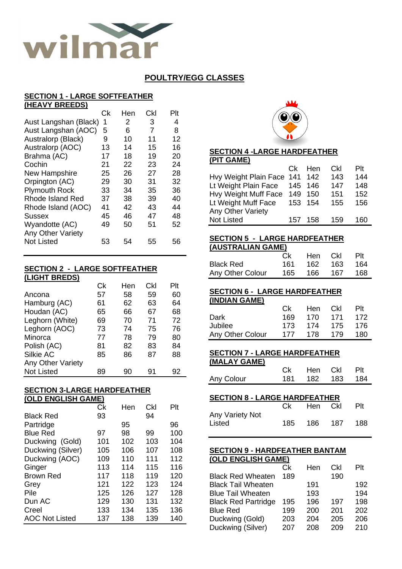

# **POULTRY/EGG CLASSES**

## **SECTION 1 - LARGE SOFTFEATHER (HEAVY BREEDS)**

|                       | Сk | Hen | Ckl | Plt |
|-----------------------|----|-----|-----|-----|
| Aust Langshan (Black) | 1  | 2   | 3   | 4   |
| Aust Langshan (AOC)   | 5  | 6   | 7   | 8   |
| Australorp (Black)    | 9  | 10  | 11  | 12  |
| Australorp (AOC)      | 13 | 14  | 15  | 16  |
| Brahma (AC)           | 17 | 18  | 19  | 20  |
| Cochin                | 21 | 22  | 23  | 24  |
| New Hampshire         | 25 | 26  | 27  | 28  |
| Orpington (AC)        | 29 | 30  | 31  | 32  |
| <b>Plymouth Rock</b>  | 33 | 34  | 35  | 36  |
| Rhode Island Red      | 37 | 38  | 39  | 40  |
| Rhode Island (AOC)    | 41 | 42  | 43  | 44  |
| <b>Sussex</b>         | 45 | 46  | 47  | 48  |
| Wyandotte (AC)        | 49 | 50  | 51  | 52  |
| Any Other Variety     |    |     |     |     |
| <b>Not Listed</b>     | 53 | 54  | 55  | 56  |
|                       |    |     |     |     |

#### **SECTION 2 - LARGE SOFTFEATHER (LIGHT BREDS)**

|                   | Сk | Hen | Ckl | Plt |
|-------------------|----|-----|-----|-----|
| Ancona            | 57 | 58  | 59  | 60  |
| Hamburg (AC)      | 61 | 62  | 63  | 64  |
| Houdan (AC)       | 65 | 66  | 67  | 68  |
| Leghorn (White)   | 69 | 70  | 71  | 72  |
| Leghorn (AOC)     | 73 | 74  | 75  | 76  |
| Minorca           | 77 | 78  | 79  | 80  |
| Polish (AC)       | 81 | 82  | 83  | 84  |
| Silkie AC         | 85 | 86  | 87  | 88  |
| Any Other Variety |    |     |     |     |
| <b>Not Listed</b> | 89 | 90  | 91  | 92  |

# **SECTION 3-LARGE HARDFEATHER (OLD ENGLISH GAME)**

| , – – –<br><u>.</u>   |     |     |     |     |
|-----------------------|-----|-----|-----|-----|
|                       | Ck  | Hen | Ckl | Plt |
| <b>Black Red</b>      | 93  |     | 94  |     |
| Partridge             |     | 95  |     | 96  |
| <b>Blue Red</b>       | 97  | 98  | 99  | 100 |
| Duckwing (Gold)       | 101 | 102 | 103 | 104 |
| Duckwing (Silver)     | 105 | 106 | 107 | 108 |
| Duckwing (AOC)        | 109 | 110 | 111 | 112 |
| Ginger                | 113 | 114 | 115 | 116 |
| <b>Brown Red</b>      | 117 | 118 | 119 | 120 |
| Grey                  | 121 | 122 | 123 | 124 |
| Pile                  | 125 | 126 | 127 | 128 |
| Dun AC                | 129 | 130 | 131 | 132 |
| Creel                 | 133 | 134 | 135 | 136 |
| <b>AOC Not Listed</b> | 137 | 138 | 139 | 140 |



#### **SECTION 4 -LARGE HARDFEATHER (PIT GAME)**

|                           | Ck  | Hen | Ckl | Plt |
|---------------------------|-----|-----|-----|-----|
| Hvy Weight Plain Face 141 |     | 142 | 143 | 144 |
| Lt Weight Plain Face      | 145 | 146 | 147 | 148 |
| Hvy Weight Muff Face      | 149 | 150 | 151 | 152 |
| Lt Weight Muff Face       | 153 | 154 | 155 | 156 |
| Any Other Variety         |     |     |     |     |
| <b>Not Listed</b>         | 157 | 158 | 159 | 160 |

#### **SECTION 5 - LARGE HARDFEATHER (AUSTRALIAN GAME)**

|                  | Ck.  | Hen Ckl |      | Plt  |
|------------------|------|---------|------|------|
| <b>Black Red</b> | 161. | 162     | 163  | -164 |
| Any Other Colour | 165. | 166     | -167 | 168  |
|                  |      |         |      |      |

| <b>SECTION 6 - LARGE HARDFEATHER</b> |      |         |             |       |
|--------------------------------------|------|---------|-------------|-------|
| (INDIAN GAME)                        |      |         |             |       |
|                                      | Ck.  | Hen Ckl |             | - Plt |
| Dark                                 | 169. | 170 171 |             | - 172 |
| Jubilee                              | 173  |         | 174 175 176 |       |

# Any Other Colour 177 178 179 180 **SECTION 7 - LARGE HARDFEATHER (MALAY GAME)**

|            | Ck Hen Ckl Plt  |  |
|------------|-----------------|--|
| Any Colour | 181 182 183 184 |  |
|            |                 |  |

## **SECTION 8 - LARGE HARDFEATHER**

|                 | Ck.  | Hen Ckl |       | Plt |
|-----------------|------|---------|-------|-----|
| Any Variety Not |      |         |       |     |
| Listed          | 185. | 186     | - 187 | 188 |

#### **SECTION 9 - HARDFEATHER BANTAM (OLD ENGLISH GAME)**

|                            | Сk  | Hen | Ckl | Plt |
|----------------------------|-----|-----|-----|-----|
| <b>Black Red Wheaten</b>   | 189 |     | 190 |     |
| <b>Black Tail Wheaten</b>  |     | 191 |     | 192 |
| <b>Blue Tail Wheaten</b>   |     | 193 |     | 194 |
| <b>Black Red Partridge</b> | 195 | 196 | 197 | 198 |
| <b>Blue Red</b>            | 199 | 200 | 201 | 202 |
| Duckwing (Gold)            | 203 | 204 | 205 | 206 |
| Duckwing (Silver)          | 207 | 208 | 209 | 210 |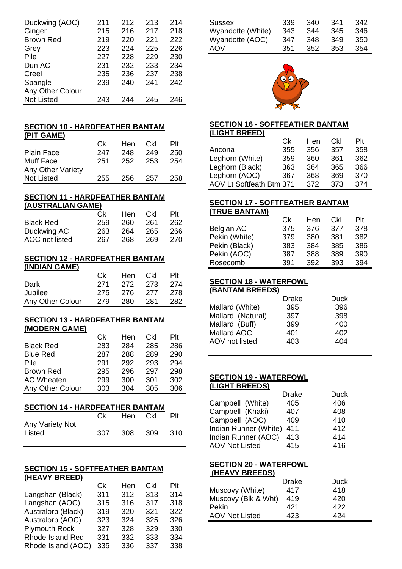| Duckwing (AOC)    | 211 | 212 | 213 | 214 |
|-------------------|-----|-----|-----|-----|
| Ginger            | 215 | 216 | 217 | 218 |
| <b>Brown Red</b>  | 219 | 220 | 221 | 222 |
| Grey              | 223 | 224 | 225 | 226 |
| Pile              | 227 | 228 | 229 | 230 |
| Dun AC            | 231 | 232 | 233 | 234 |
| Creel             | 235 | 236 | 237 | 238 |
| Spangle           | 239 | 240 | 241 | 242 |
| Any Other Colour  |     |     |     |     |
| <b>Not Listed</b> | 243 | 244 | 245 | 246 |

#### **SECTION 10 - HARDFEATHER BANTAM (PIT GAME)**

|                   | Ck. | Hen  | – Ckl | Plt |
|-------------------|-----|------|-------|-----|
| <b>Plain Face</b> | 247 | 248  | 249   | 250 |
| Muff Face         | 251 | 252  | - 253 | 254 |
| Any Other Variety |     |      |       |     |
| <b>Not Listed</b> | 255 | 256. | -257  | 258 |

#### **SECTION 11 - HARDFEATHER BANTAM (AUSTRALIAN GAME)**

|                  | Ck.  | Hen  | – CkI | PIt |
|------------------|------|------|-------|-----|
| <b>Black Red</b> | 259  | -260 | -261  | 262 |
| Duckwing AC      | 263  | -264 | 265   | 266 |
| AOC not listed   | -267 | 268  | -269  | 270 |

## **SECTION 12 - HARDFEATHER BANTAM (INDIAN GAME)**

|                  | Ck Hen Ckl Plt  |  |
|------------------|-----------------|--|
| Dark             | 271 272 273 274 |  |
| Jubilee          | 275 276 277 278 |  |
| Any Other Colour | 279 280 281 282 |  |

#### **SECTION 13 - HARDFEATHER BANTAM (MODERN GAME)**

|                  | Сk  | Hen | Ckl | Plt |
|------------------|-----|-----|-----|-----|
| <b>Black Red</b> | 283 | 284 | 285 | 286 |
| <b>Blue Red</b>  | 287 | 288 | 289 | 290 |
| Pile             | 291 | 292 | 293 | 294 |
| <b>Brown Red</b> | 295 | 296 | 297 | 298 |
| AC Wheaten       | 299 | 300 | 301 | 302 |
| Any Other Colour | 303 | 304 | 305 | 306 |
|                  |     |     |     |     |

## **SECTION 14 - HARDFEATHER BANTAM**

|                 | Ck – | Hen Ckl | PIt   |
|-----------------|------|---------|-------|
| Any Variety Not |      |         |       |
| Listed          | 307  | 308 309 | - 310 |
|                 |      |         |       |

#### **SECTION 15 - SOFTFEATHER BANTAM (HEAVY BREED)**

|                      | Сk  | Hen | Ckl | Plt |
|----------------------|-----|-----|-----|-----|
| Langshan (Black)     | 311 | 312 | 313 | 314 |
| Langshan (AOC)       | 315 | 316 | 317 | 318 |
| Australorp (Black)   | 319 | 320 | 321 | 322 |
| Australorp (AOC)     | 323 | 324 | 325 | 326 |
| <b>Plymouth Rock</b> | 327 | 328 | 329 | 330 |
| Rhode Island Red     | 331 | 332 | 333 | 334 |
| Rhode Island (AOC)   | 335 | 336 | 337 | 338 |
|                      |     |     |     |     |

| Sussex            | 339 | 340 | 341 | 342 |
|-------------------|-----|-----|-----|-----|
| Wyandotte (White) | 343 | 344 | 345 | 346 |
| Wyandotte (AOC)   | 347 | 348 | 349 | 350 |
| AOV               | 351 | 352 | 353 | 354 |



#### **SECTION 16 - SOFTFEATHER BANTAM (LIGHT BREED)**

|                                 | Ck  | Hen | Ckl | Plt |
|---------------------------------|-----|-----|-----|-----|
| Ancona                          | 355 | 356 | 357 | 358 |
| Leghorn (White)                 | 359 | 360 | 361 | 362 |
| Leghorn (Black)                 | 363 | 364 | 365 | 366 |
| Leghorn (AOC)                   | 367 | 368 | 369 | 370 |
| <b>AOV Lt Softfeath Btm 371</b> |     | 372 | 373 | 374 |

# **SECTION 17 - SOFTFEATHER BANTAM (TRUE BANTAM)**

|               | Ck  | Hen | Ckl | Plt |
|---------------|-----|-----|-----|-----|
| Belgian AC    | 375 | 376 | 377 | 378 |
| Pekin (White) | 379 | 380 | 381 | 382 |
| Pekin (Black) | 383 | 384 | 385 | 386 |
| Pekin (AOC)   | 387 | 388 | 389 | 390 |
| Rosecomb      | 391 | 392 | 393 | 394 |

#### **SECTION 18 - WATERFOWL (BANTAM BREEDS)**

|                   | <b>Drake</b> | Duck |
|-------------------|--------------|------|
| Mallard (White)   | 395          | 396  |
| Mallard (Natural) | 397          | 398  |
| Mallard (Buff)    | 399          | 400  |
| Mallard AOC       | 401          | 402  |
| AOV not listed    | 403          | 404  |

#### **SECTION 19 - WATERFOWL (LIGHT BREEDS)**

|                       | <b>Drake</b> | Duck |
|-----------------------|--------------|------|
| Campbell (White)      | 405          | 406  |
| Campbell (Khaki)      | 407          | 408  |
| Campbell (AOC)        | 409          | 410  |
| Indian Runner (White) | 411          | 412  |
| Indian Runner (AOC)   | 413          | 414  |
| <b>AOV Not Listed</b> | 415          | 416  |

#### **SECTION 20 - WATERFOWL (HEAVY BREEDS)**

|                       | Drake | Duck |
|-----------------------|-------|------|
| Muscovy (White)       | 417   | 418  |
| Muscovy (Blk & Wht)   | 419   | 420  |
| Pekin                 | 421   | 422  |
| <b>AOV Not Listed</b> | 423   | 424  |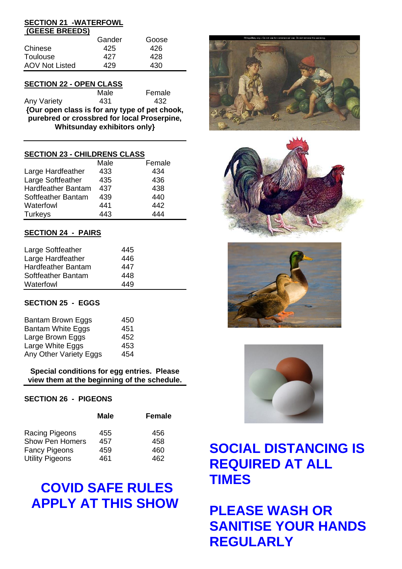#### **SECTION 21 -WATERFOWL (GEESE BREEDS)**

|                 | Gander | Goose |  |
|-----------------|--------|-------|--|
| Chinese         | 425    | 426   |  |
| <b>Toulouse</b> | 427    | 428   |  |
| AOV Not Listed  | 429    | 430   |  |

# **SECTION 22 - OPEN CLASS**

Male Female Any Variety **431** 432 **{Our open class is for any type of pet chook, purebred or crossbred for local Proserpine, Whitsunday exhibitors only}**

## **SECTION 23 - CHILDRENS CLASS**

|                    | Male | Female |
|--------------------|------|--------|
| Large Hardfeather  | 433  | 434    |
| Large Softfeather  | 435  | 436    |
| Hardfeather Bantam | 437  | 438    |
| Softfeather Bantam | 439  | 440    |
| Waterfowl          | 441  | 442    |
| <b>Turkeys</b>     | 443  | 444    |

# **SECTION 24 - PAIRS**

| Large Softfeather  | 445 |
|--------------------|-----|
| Large Hardfeather  | 446 |
| Hardfeather Bantam | 447 |
| Softfeather Bantam | 448 |
| Waterfowl          | 449 |

## **SECTION 25 - EGGS**

| Bantam Brown Eggs      | 450 |
|------------------------|-----|
| Bantam White Eggs      | 451 |
| Large Brown Eggs       | 452 |
| Large White Eggs       | 453 |
| Any Other Variety Eggs | 454 |

#### **Special conditions for egg entries. Please view them at the beginning of the schedule.**

## **SECTION 26 - PIGEONS**

|                        | <b>Male</b> | <b>Female</b> |
|------------------------|-------------|---------------|
| Racing Pigeons         | 455         | 456           |
| <b>Show Pen Homers</b> | 457         | 458           |
| <b>Fancy Pigeons</b>   | 459         | 460           |
| <b>Utility Pigeons</b> | 461         | 462           |

# **COVID SAFE RULES APPLY AT THIS SHOW**









# **SOCIAL DISTANCING IS REQUIRED AT ALL TIMES**

# **PLEASE WASH OR SANITISE YOUR HANDS REGULARLY**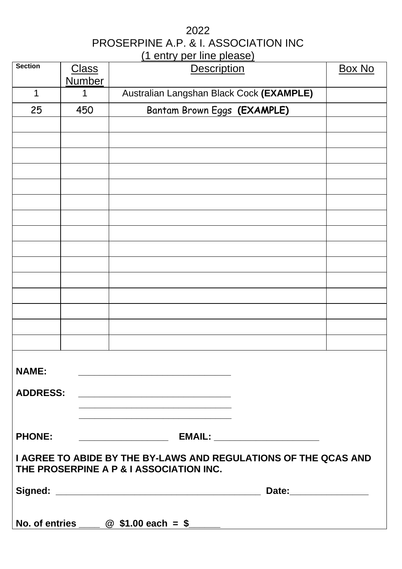# 2022 PROSERPINE A.P. & I. ASSOCIATION INC (1 entry per line please)

| <b>Section</b>                                                                                             | <u>Class</u><br><b>Number</b> | <b>Description</b>                                                                                                   | <b>Box No</b> |  |
|------------------------------------------------------------------------------------------------------------|-------------------------------|----------------------------------------------------------------------------------------------------------------------|---------------|--|
| $\mathbf 1$                                                                                                |                               | Australian Langshan Black Cock (EXAMPLE)                                                                             |               |  |
| 25                                                                                                         | 450                           | Bantam Brown Eggs (EXAMPLE)                                                                                          |               |  |
|                                                                                                            |                               |                                                                                                                      |               |  |
|                                                                                                            |                               |                                                                                                                      |               |  |
|                                                                                                            |                               |                                                                                                                      |               |  |
|                                                                                                            |                               |                                                                                                                      |               |  |
|                                                                                                            |                               |                                                                                                                      |               |  |
|                                                                                                            |                               |                                                                                                                      |               |  |
|                                                                                                            |                               |                                                                                                                      |               |  |
|                                                                                                            |                               |                                                                                                                      |               |  |
|                                                                                                            |                               |                                                                                                                      |               |  |
|                                                                                                            |                               |                                                                                                                      |               |  |
|                                                                                                            |                               |                                                                                                                      |               |  |
|                                                                                                            |                               |                                                                                                                      |               |  |
|                                                                                                            |                               |                                                                                                                      |               |  |
|                                                                                                            |                               |                                                                                                                      |               |  |
| <b>NAME:</b>                                                                                               |                               |                                                                                                                      |               |  |
|                                                                                                            |                               |                                                                                                                      |               |  |
|                                                                                                            |                               | <u> 1989 - Johann Stein, mars an deutscher Stein und der Stein und der Stein und der Stein und der Stein und der</u> |               |  |
|                                                                                                            |                               |                                                                                                                      |               |  |
| <b>PHONE:</b>                                                                                              |                               |                                                                                                                      |               |  |
| I AGREE TO ABIDE BY THE BY-LAWS AND REGULATIONS OF THE QCAS AND<br>THE PROSERPINE A P & I ASSOCIATION INC. |                               |                                                                                                                      |               |  |
|                                                                                                            |                               |                                                                                                                      |               |  |
|                                                                                                            |                               |                                                                                                                      |               |  |
| No. of entries $\qquad \qquad @ $ \$1.00 each = \$                                                         |                               |                                                                                                                      |               |  |